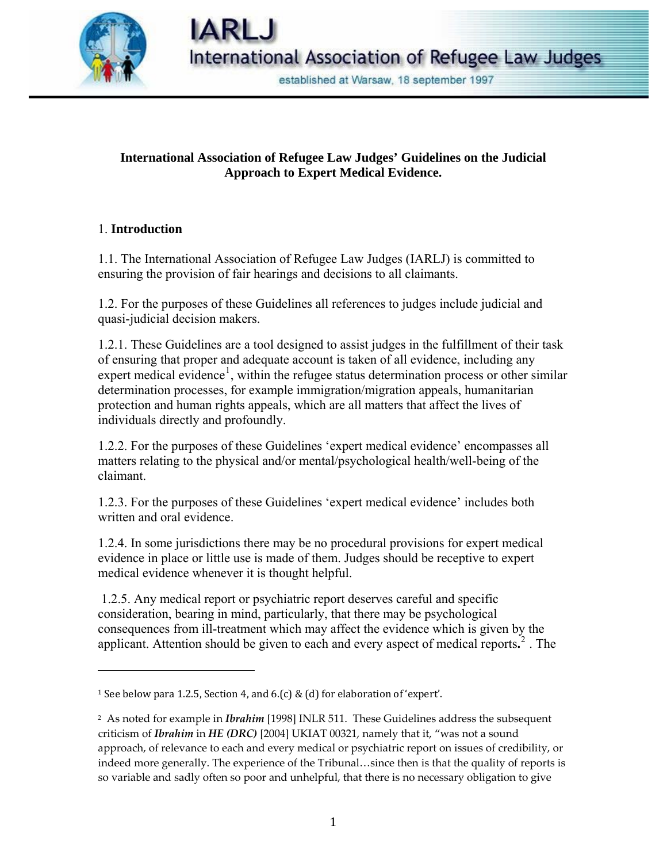

established at Warsaw, 18 september 1997

# **International Association of Refugee Law Judges' Guidelines on the Judicial Approach to Expert Medical Evidence.**

### 1. **Introduction**

1.1. The International Association of Refugee Law Judges (IARLJ) is committed to ensuring the provision of fair hearings and decisions to all claimants.

1.2. For the purposes of these Guidelines all references to judges include judicial and quasi-judicial decision makers.

1.2.1. These Guidelines are a tool designed to assist judges in the fulfillment of their task of ensuring that proper and adequate account is taken of all evidence, including any expert medical evidence<sup>[1](#page-0-0)</sup>, within the refugee status determination process or other similar determination processes, for example immigration/migration appeals, humanitarian protection and human rights appeals, which are all matters that affect the lives of individuals directly and profoundly.

1.2.2. For the purposes of these Guidelines 'expert medical evidence' encompasses all matters relating to the physical and/or mental/psychological health/well-being of the claimant.

1.2.3. For the purposes of these Guidelines 'expert medical evidence' includes both written and oral evidence.

1.2.4. In some jurisdictions there may be no procedural provisions for expert medical evidence in place or little use is made of them. Judges should be receptive to expert medical evidence whenever it is thought helpful.

 1.2.5. Any medical report or psychiatric report deserves careful and specific consideration, bearing in mind, particularly, that there may be psychological consequences from ill-treatment which may affect the evidence which is given by the applicant. Attention should be given to each and every aspect of medical reports**.** [2](#page-0-1) . The

<span id="page-0-0"></span><sup>1</sup> See below para 1.2.5, Section 4, and 6.(c) & (d) for elaboration of 'expert'.

<span id="page-0-1"></span><sup>2</sup> As noted for example in *Ibrahim* [1998] INLR 511. These Guidelines address the subsequent criticism of *Ibrahim* in *HE (DRC)* [2004] UKIAT 00321, namely that it, "was not a sound approach, of relevance to each and every medical or psychiatric report on issues of credibility, or indeed more generally. The experience of the Tribunal…since then is that the quality of reports is so variable and sadly often so poor and unhelpful, that there is no necessary obligation to give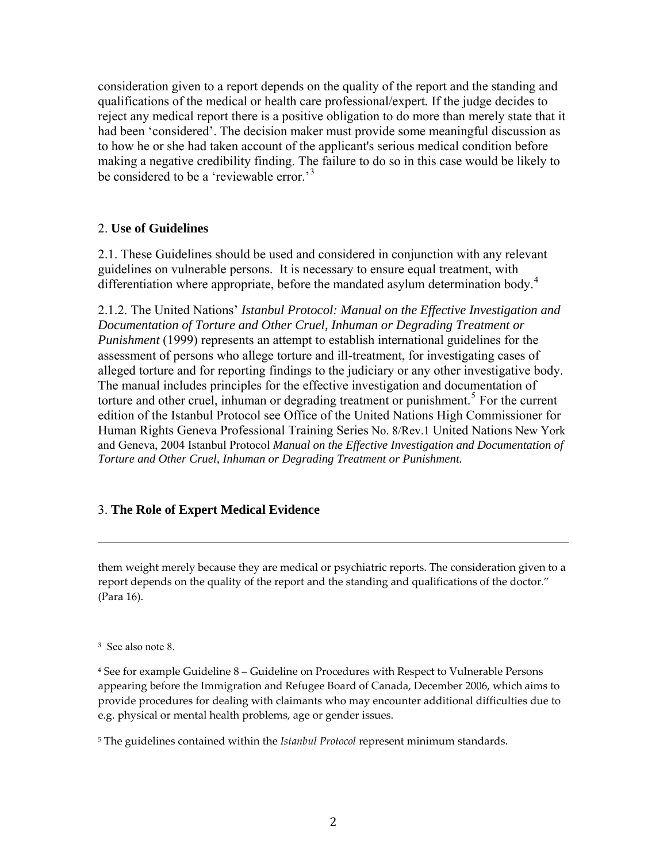consideration given to a report depends on the quality of the report and the standing and qualifications of the medical or health care professional/expert*.* If the judge decides to reject any medical report there is a positive obligation to do more than merely state that it had been 'considered'. The decision maker must provide some meaningful discussion as to how he or she had taken account of the applicant's serious medical condition before making a negative credibility finding. The failure to do so in this case would be likely to be considered to be a 'reviewable error.<sup>[3](#page-1-0)</sup>

#### 2. **Use of Guidelines**

2.1. These Guidelines should be used and considered in conjunction with any relevant guidelines on vulnerable persons. It is necessary to ensure equal treatment, with differentiation where appropriate, before the mandated asylum determination body.<sup>[4](#page-1-1)</sup>

2.1.2. The United Nations' *Istanbul Protocol: Manual on the Effective Investigation and Documentation of Torture and Other Cruel, Inhuman or Degrading Treatment or Punishment* (1999) represents an attempt to establish international guidelines for the assessment of persons who allege torture and ill-treatment, for investigating cases of alleged torture and for reporting findings to the judiciary or any other investigative body. The manual includes principles for the effective investigation and documentation of torture and other cruel, inhuman or degrading treatment or punishment.<sup>[5](#page-1-2)</sup> For the current edition of the Istanbul Protocol see Office of the United Nations High Commissioner for Human Rights Geneva Professional Training Series No. 8/Rev.1 United Nations New York and Geneva, 2004 Istanbul Protocol *Manual on the Effective Investigation and Documentation of Torture and Other Cruel, Inhuman or Degrading Treatment or Punishment.*

### 3. **The Role of Expert Medical Evidence**

them weight merely because they are medical or psychiatric reports. The consideration given to a report depends on the quality of the report and the standing and qualifications of the doctor*.*" (Para 16).

<u> 1989 - Andrea San Andrea San Andrea San Andrea San Andrea San Andrea San Andrea San Andrea San Andrea San An</u>

<span id="page-1-0"></span>3 See also note 8.

<span id="page-1-1"></span><sup>4</sup> See for example Guideline 8 – Guideline on Procedures with Respect to Vulnerable Persons appearing before the Immigration and Refugee Board of Canada, December 2006, which aims to provide procedures for dealing with claimants who may encounter additional difficulties due to e.g. physical or mental health problems, age or gender issues.

<span id="page-1-2"></span><sup>5</sup> The guidelines contained within the *Istanbul Protocol* represent minimum standards.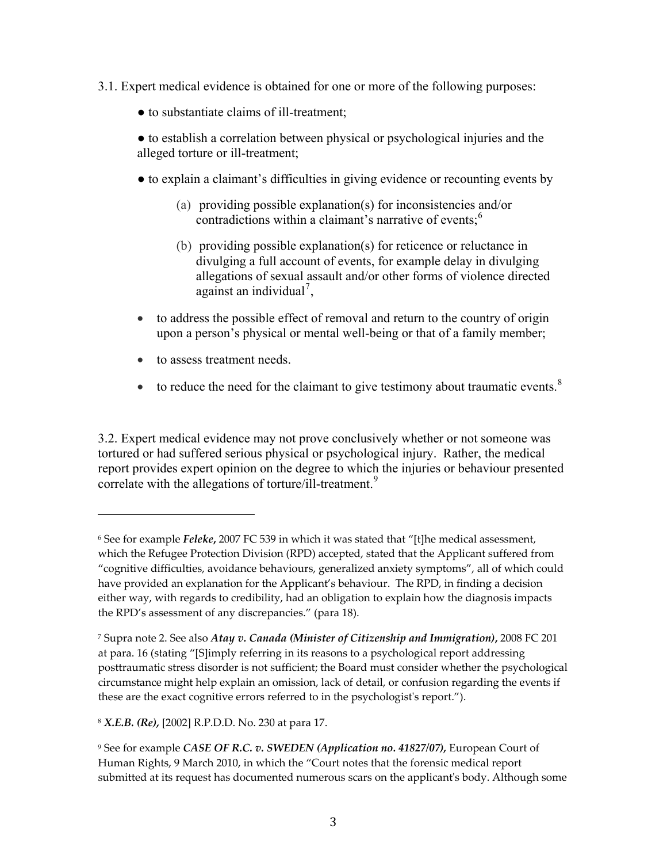- 3.1. Expert medical evidence is obtained for one or more of the following purposes:
	- to substantiate claims of ill-treatment;
	- to establish a correlation between physical or psychological injuries and the alleged torture or ill-treatment;
	- to explain a claimant's difficulties in giving evidence or recounting events by
		- (a) providing possible explanation(s) for inconsistencies and/or contradictions within a claimant's narrative of events;<sup>[6](#page-2-0)</sup>
		- (b) providing possible explanation(s) for reticence or reluctance in divulging a full account of events, for example delay in divulging allegations of sexual assault and/or other forms of violence directed against an individual<sup>[7](#page-2-1)</sup>,
	- to address the possible effect of removal and return to the country of origin upon a person's physical or mental well-being or that of a family member;
	- to assess treatment needs.

• to reduce the need for the claimant to give testimony about traumatic events.<sup>[8](#page-2-2)</sup>

3.2. Expert medical evidence may not prove conclusively whether or not someone was tortured or had suffered serious physical or psychological injury. Rather, the medical report provides expert opinion on the degree to which the injuries or behaviour presented correlate with the allegations of torture/ill-treatment.<sup>[9](#page-2-3)</sup>

<span id="page-2-2"></span><sup>8</sup> *X.E.B. (Re),* [2002] R.P.D.D. No. 230 at para 17.

<span id="page-2-0"></span><sup>6</sup> See for example *Feleke***,** 2007 FC 539 in which it was stated that "[t]he medical assessment, which the Refugee Protection Division (RPD) accepted, stated that the Applicant suffered from "cognitive difficulties, avoidance behaviours, generalized anxiety symptoms", all of which could have provided an explanation for the Applicant's behaviour. The RPD, in finding a decision either way, with regards to credibility, had an obligation to explain how the diagnosis impacts the RPD's assessment of any discrepancies." (para 18).

<span id="page-2-1"></span><sup>7</sup> Supra note 2. See also *Atay v. Canada (Minister of Citizenship and Immigration)***,** 2008 FC 201 at para. 16 (stating "[S]imply referring in its reasons to a psychological report addressing posttraumatic stress disorder is not sufficient; the Board must consider whether the psychological circumstance might help explain an omission, lack of detail, or confusion regarding the events if these are the exact cognitive errors referred to in the psychologist's report.").

<span id="page-2-3"></span><sup>9</sup> See for example *CASE OF R.C. v. SWEDEN (Application no. 41827/07),* European Court of Human Rights, 9 March 2010, in which the "Court notes that the forensic medical report submitted at its request has documented numerous scars on the applicant's body. Although some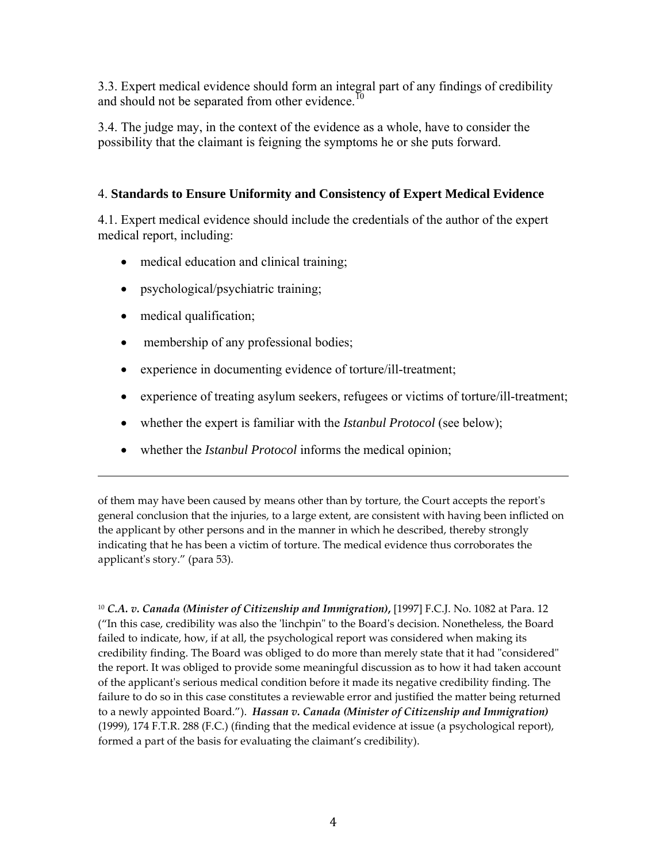3.3. Expert medical evidence should form an integral part of any findings of credibility and should not be separated from other evidence.<sup>[10](#page-3-0)</sup>

3.4. The judge may, in the context of the evidence as a whole, have to consider the possibility that the claimant is feigning the symptoms he or she puts forward.

### 4. **Standards to Ensure Uniformity and Consistency of Expert Medical Evidence**

4.1. Expert medical evidence should include the credentials of the author of the expert medical report, including:

- medical education and clinical training;
- psychological/psychiatric training;
- medical qualification;
- membership of any professional bodies;
- experience in documenting evidence of torture/ill-treatment;
- experience of treating asylum seekers, refugees or victims of torture/ill-treatment;
- whether the expert is familiar with the *Istanbul Protocol* (see below);
- whether the *Istanbul Protocol* informs the medical opinion;

of them may have been caused by means other than by torture, the Court accepts the reportʹs general conclusion that the injuries, to a large extent, are consistent with having been inflicted on the applicant by other persons and in the manner in which he described, thereby strongly indicating that he has been a victim of torture. The medical evidence thus corroborates the applicant's story." (para 53).

<u> 1989 - Andrea San Andrea San Andrea San Andrea San Andrea San Andrea San Andrea San Andrea San Andrea San An</u>

<span id="page-3-0"></span><sup>10</sup> *C.A. v. Canada (Minister of Citizenship and Immigration)***,** [1997] F.C.J. No. 1082 at Para. 12 ("In this case, credibility was also the ʹlinchpinʺ to the Boardʹs decision. Nonetheless, the Board failed to indicate, how, if at all, the psychological report was considered when making its credibility finding. The Board was obliged to do more than merely state that it had "considered" the report. It was obliged to provide some meaningful discussion as to how it had taken account of the applicantʹs serious medical condition before it made its negative credibility finding. The failure to do so in this case constitutes a reviewable error and justified the matter being returned to a newly appointed Board."). *Hassan v. Canada (Minister of Citizenship and Immigration)* (1999), 174 F.T.R. 288 (F.C.) (finding that the medical evidence at issue (a psychological report), formed a part of the basis for evaluating the claimant's credibility).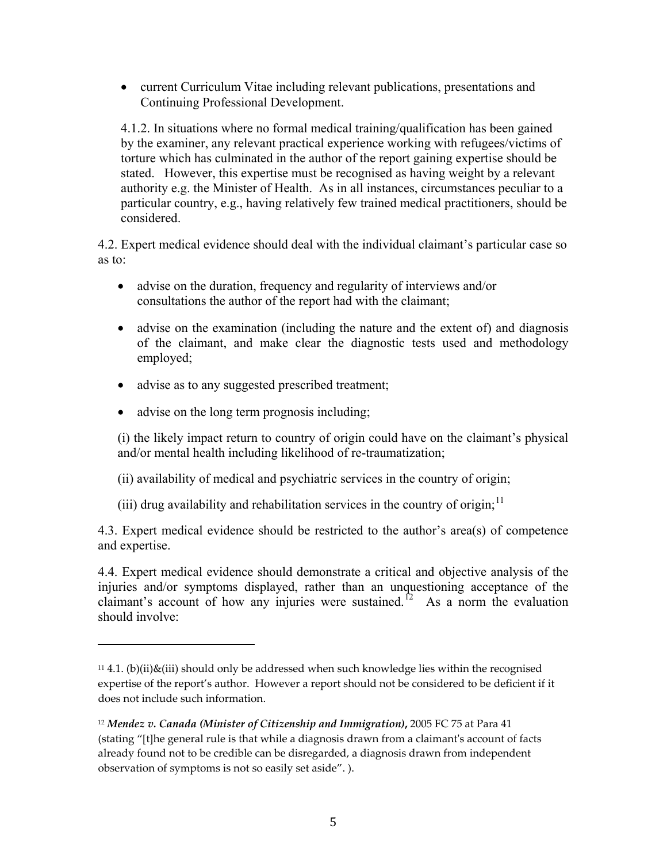• current Curriculum Vitae including relevant publications, presentations and Continuing Professional Development.

4.1.2. In situations where no formal medical training/qualification has been gained by the examiner, any relevant practical experience working with refugees/victims of torture which has culminated in the author of the report gaining expertise should be stated. However, this expertise must be recognised as having weight by a relevant authority e.g. the Minister of Health. As in all instances, circumstances peculiar to a particular country, e.g., having relatively few trained medical practitioners, should be considered.

4.2. Expert medical evidence should deal with the individual claimant's particular case so as to:

- advise on the duration, frequency and regularity of interviews and/or consultations the author of the report had with the claimant;
- advise on the examination (including the nature and the extent of) and diagnosis of the claimant, and make clear the diagnostic tests used and methodology employed;
- advise as to any suggested prescribed treatment;
- advise on the long term prognosis including;

(i) the likely impact return to country of origin could have on the claimant's physical and/or mental health including likelihood of re-traumatization;

- (ii) availability of medical and psychiatric services in the country of origin;
- (iii) drug availability and rehabilitation services in the country of origin;  $11$

4.3. Expert medical evidence should be restricted to the author's area(s) of competence and expertise.

4.4. Expert medical evidence should demonstrate a critical and objective analysis of the injuries and/or symptoms displayed, rather than an unquestioning acceptance of the claimant's account of how any injuries were sustained.<sup>[12](#page-4-1)</sup> As a norm the evaluation should involve:

<span id="page-4-0"></span><sup>&</sup>lt;sup>11</sup> 4.1. (b)(ii)&(iii) should only be addressed when such knowledge lies within the recognised expertise of the report's author. However a report should not be considered to be deficient if it does not include such information.

<span id="page-4-1"></span><sup>12</sup> *Mendez v. Canada (Minister of Citizenship and Immigration)***,** 2005 FC 75 at Para 41 (stating "[t]he general rule is that while a diagnosis drawn from a claimantʹs account of facts already found not to be credible can be disregarded, a diagnosis drawn from independent observation of symptoms is not so easily set aside". ).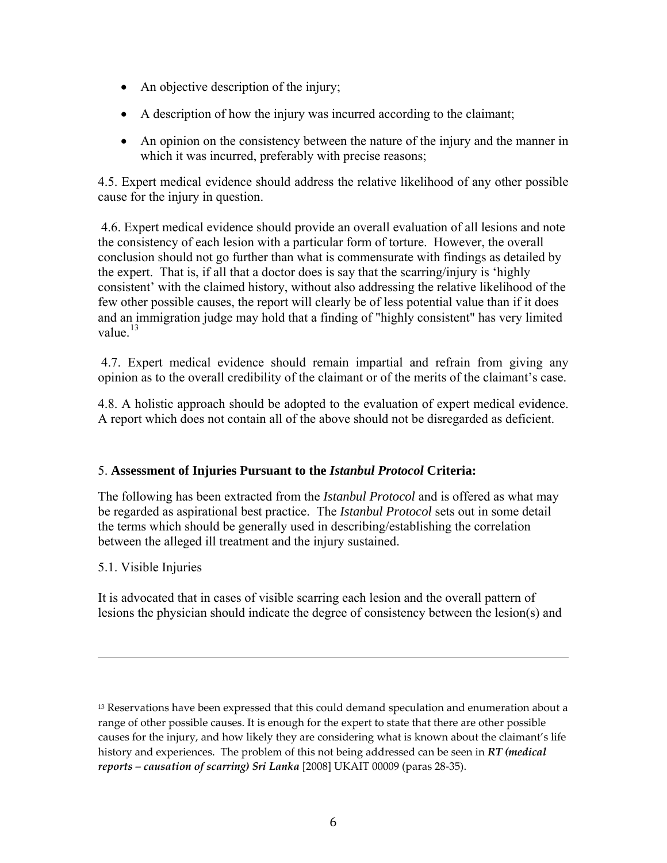- An objective description of the injury;
- A description of how the injury was incurred according to the claimant;
- An opinion on the consistency between the nature of the injury and the manner in which it was incurred, preferably with precise reasons;

4.5. Expert medical evidence should address the relative likelihood of any other possible cause for the injury in question.

 4.6. Expert medical evidence should provide an overall evaluation of all lesions and note the consistency of each lesion with a particular form of torture. However, the overall conclusion should not go further than what is commensurate with findings as detailed by the expert. That is, if all that a doctor does is say that the scarring/injury is 'highly consistent' with the claimed history, without also addressing the relative likelihood of the few other possible causes, the report will clearly be of less potential value than if it does and an immigration judge may hold that a finding of "highly consistent" has very limited value. $13$ 

 4.7. Expert medical evidence should remain impartial and refrain from giving any opinion as to the overall credibility of the claimant or of the merits of the claimant's case.

4.8. A holistic approach should be adopted to the evaluation of expert medical evidence. A report which does not contain all of the above should not be disregarded as deficient.

### 5. **Assessment of Injuries Pursuant to the** *Istanbul Protocol* **Criteria:**

The following has been extracted from the *Istanbul Protocol* and is offered as what may be regarded as aspirational best practice. The *Istanbul Protocol* sets out in some detail the terms which should be generally used in describing/establishing the correlation between the alleged ill treatment and the injury sustained.

### 5.1. Visible Injuries

It is advocated that in cases of visible scarring each lesion and the overall pattern of lesions the physician should indicate the degree of consistency between the lesion(s) and

<u> 1989 - Andrea San Andrea San Andrea San Andrea San Andrea San Andrea San Andrea San Andrea San Andrea San An</u>

<span id="page-5-0"></span><sup>&</sup>lt;sup>13</sup> Reservations have been expressed that this could demand speculation and enumeration about a range of other possible causes. It is enough for the expert to state that there are other possible causes for the injury, and how likely they are considering what is known about the claimant's life history and experiences. The problem of this not being addressed can be seen in *RT (medical reports – causation of scarring) Sri Lanka* [2008] UKAIT 00009 (paras 28‐35).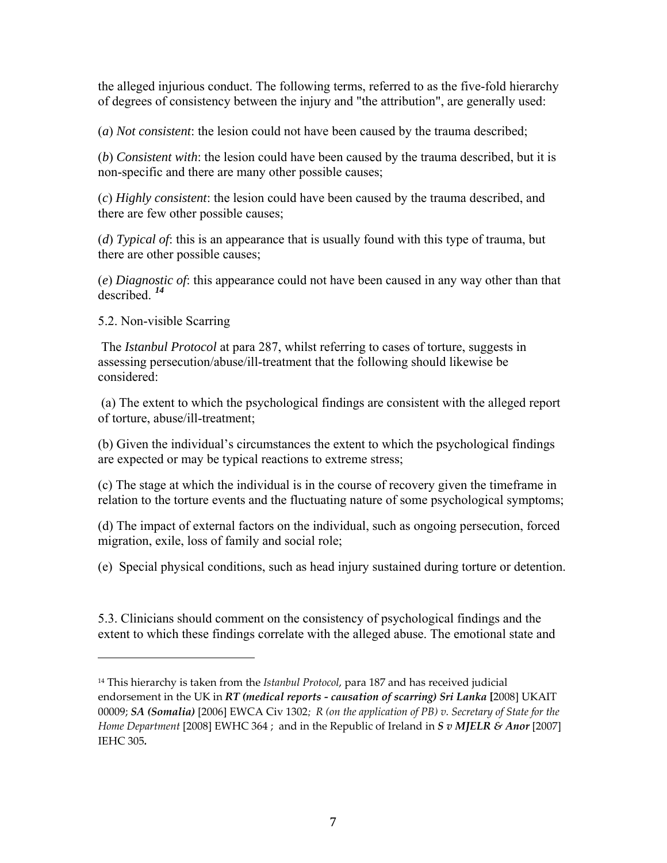the alleged injurious conduct. The following terms, referred to as the five-fold hierarchy of degrees of consistency between the injury and "the attribution", are generally used:

(*a*) *Not consistent*: the lesion could not have been caused by the trauma described;

(*b*) *Consistent with*: the lesion could have been caused by the trauma described, but it is non-specific and there are many other possible causes;

(*c*) *Highly consistent*: the lesion could have been caused by the trauma described, and there are few other possible causes;

(*d*) *Typical of*: this is an appearance that is usually found with this type of trauma, but there are other possible causes;

(*e*) *Diagnostic of*: this appearance could not have been caused in any way other than that described. *[14](#page-6-0)*

5.2. Non-visible Scarring

 The *Istanbul Protocol* at para 287, whilst referring to cases of torture, suggests in assessing persecution/abuse/ill-treatment that the following should likewise be considered:

 (a) The extent to which the psychological findings are consistent with the alleged report of torture, abuse/ill-treatment;

(b) Given the individual's circumstances the extent to which the psychological findings are expected or may be typical reactions to extreme stress;

(c) The stage at which the individual is in the course of recovery given the timeframe in relation to the torture events and the fluctuating nature of some psychological symptoms;

(d) The impact of external factors on the individual, such as ongoing persecution, forced migration, exile, loss of family and social role;

(e) Special physical conditions, such as head injury sustained during torture or detention.

5.3. Clinicians should comment on the consistency of psychological findings and the extent to which these findings correlate with the alleged abuse. The emotional state and

<span id="page-6-0"></span><sup>14</sup> This hierarchy is taken from the *Istanbul Protocol*, para 187 and has received judicial endorsement in the UK in *RT (medical reports ‐ causation of scarring) Sri Lanka* **[**2008] UKAIT 00009; *SA (Somalia)* [2006] EWCA Civ 1302*; R (on the application of PB) v. Secretary of State for the Home Department* [2008] EWHC 364 ; and in the Republic of Ireland in *S v MJELR & Anor* [2007] IEHC 305*.*